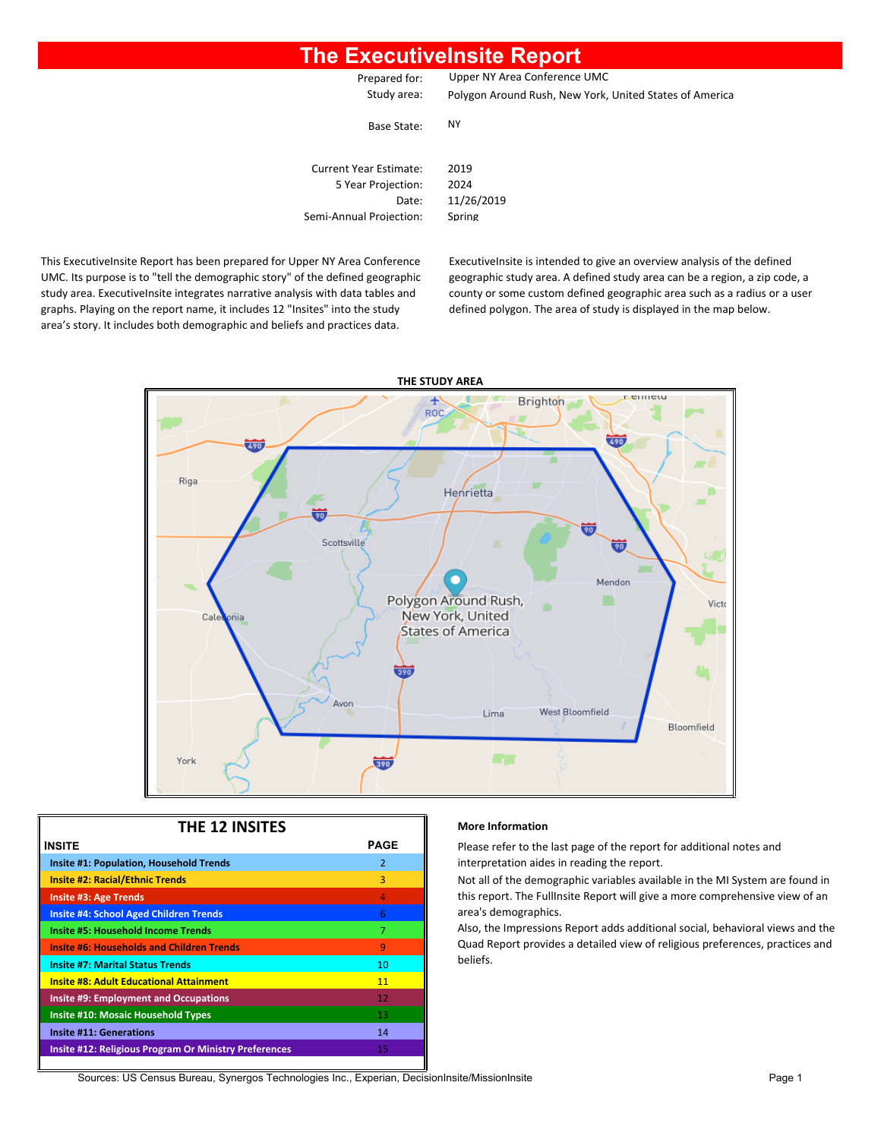### **The ExecutiveInsite Report**

Prepared for: Upper NY Area Conference UMC

Study area: Polygon Around Rush, New York, United States of America

Base State: NY

| <b>Current Year Estimate:</b> | 2019   |
|-------------------------------|--------|
| 5 Year Projection:            | 2024   |
| Date:                         | 11/26/ |
| Semi-Annual Projection:       | Spring |

2019 2024 11/26/2019

This ExecutiveInsite Report has been prepared for Upper NY Area Conference UMC. Its purpose is to "tell the demographic story" of the defined geographic study area. ExecutiveInsite integrates narrative analysis with data tables and graphs. Playing on the report name, it includes 12 "Insites" into the study area's story. It includes both demographic and beliefs and practices data.

ExecutiveInsite is intended to give an overview analysis of the defined geographic study area. A defined study area can be a region, a zip code, a county or some custom defined geographic area such as a radius or a user defined polygon. The area of study is displayed in the map below.



| <b>THE 12 INSITES</b>                                        |               |  |  |  |  |  |  |  |
|--------------------------------------------------------------|---------------|--|--|--|--|--|--|--|
| <b>PAGE</b><br><b>INSITE</b>                                 |               |  |  |  |  |  |  |  |
| <b>Insite #1: Population, Household Trends</b>               | $\mathcal{P}$ |  |  |  |  |  |  |  |
| <b>Insite #2: Racial/Ethnic Trends</b>                       | 3             |  |  |  |  |  |  |  |
| <b>Insite #3: Age Trends</b>                                 | 4             |  |  |  |  |  |  |  |
| <b>Insite #4: School Aged Children Trends</b>                | 6             |  |  |  |  |  |  |  |
| <b>Insite #5: Household Income Trends</b>                    | 7             |  |  |  |  |  |  |  |
| <b>Insite #6: Households and Children Trends</b>             | 9             |  |  |  |  |  |  |  |
| <b>Insite #7: Marital Status Trends</b>                      | 10            |  |  |  |  |  |  |  |
| <b>Insite #8: Adult Educational Attainment</b>               | 11            |  |  |  |  |  |  |  |
| <b>Insite #9: Employment and Occupations</b>                 | 12            |  |  |  |  |  |  |  |
| <b>Insite #10: Mosaic Household Types</b>                    | 13            |  |  |  |  |  |  |  |
| <b>Insite #11: Generations</b>                               | 14            |  |  |  |  |  |  |  |
| <b>Insite #12: Religious Program Or Ministry Preferences</b> | 15            |  |  |  |  |  |  |  |
|                                                              |               |  |  |  |  |  |  |  |

#### **More Information**

Please refer to the last page of the report for additional notes and **Interpretation aides in reading the report.** 

Not all of the demographic variables available in the MI System are found in this report. The FullInsite Report will give a more comprehensive view of an area's demographics.

Also, the Impressions Report adds additional social, behavioral views and the Quad Report provides a detailed view of religious preferences, practices and beliefs.

Sources: US Census Bureau, Synergos Technologies Inc., Experian, DecisionInsite/MissionInsite Page 1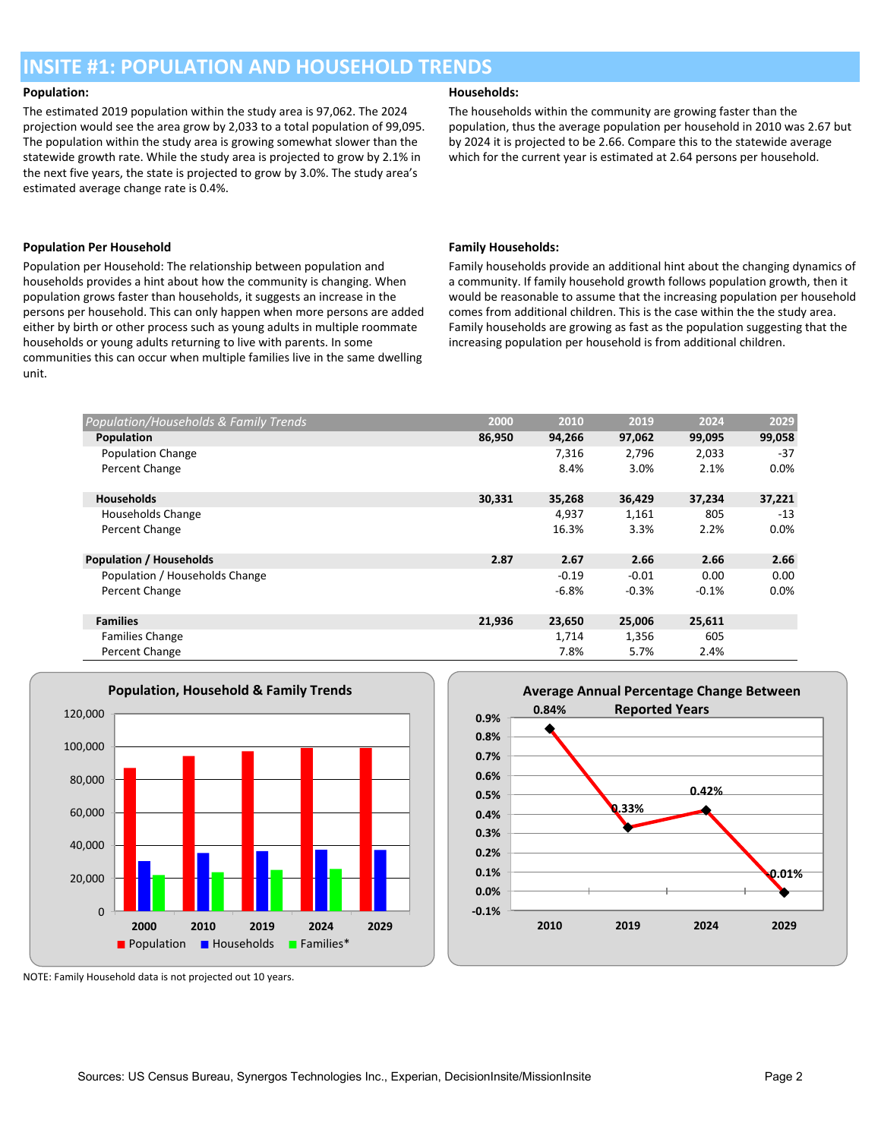### **INSITE #1: POPULATION AND HOUSEHOLD TRENDS**

The estimated 2019 population within the study area is 97,062. The 2024 projection would see the area grow by 2,033 to a total population of 99,095. The population within the study area is growing somewhat slower than the statewide growth rate. While the study area is projected to grow by 2.1% in the next five years, the state is projected to grow by 3.0%. The study area's estimated average change rate is 0.4%.

#### **Population Per Household Family Households:**

Population per Household: The relationship between population and households provides a hint about how the community is changing. When population grows faster than households, it suggests an increase in the persons per household. This can only happen when more persons are added either by birth or other process such as young adults in multiple roommate households or young adults returning to live with parents. In some communities this can occur when multiple families live in the same dwelling unit.

#### **Population: Households:**

The households within the community are growing faster than the population, thus the average population per household in 2010 was 2.67 but by 2024 it is projected to be 2.66. Compare this to the statewide average which for the current year is estimated at 2.64 persons per household.

Family households provide an additional hint about the changing dynamics of a community. If family household growth follows population growth, then it would be reasonable to assume that the increasing population per household comes from additional children. This is the case within the the study area. Family households are growing as fast as the population suggesting that the increasing population per household is from additional children.

| Population/Households & Family Trends | 2000   | 2010    | 2019    | 2024    | 2029    |
|---------------------------------------|--------|---------|---------|---------|---------|
| Population                            | 86,950 | 94,266  | 97,062  | 99,095  | 99,058  |
| <b>Population Change</b>              |        | 7,316   | 2,796   | 2,033   | $-37$   |
| Percent Change                        |        | 8.4%    | 3.0%    | 2.1%    | $0.0\%$ |
| <b>Households</b>                     | 30,331 | 35,268  | 36,429  | 37,234  | 37,221  |
| Households Change                     |        | 4,937   | 1,161   | 805     | $-13$   |
| Percent Change                        |        | 16.3%   | 3.3%    | 2.2%    | 0.0%    |
| <b>Population / Households</b>        | 2.87   | 2.67    | 2.66    | 2.66    | 2.66    |
| Population / Households Change        |        | $-0.19$ | $-0.01$ | 0.00    | 0.00    |
| Percent Change                        |        | $-6.8%$ | $-0.3%$ | $-0.1%$ | 0.0%    |
| <b>Families</b>                       | 21,936 | 23,650  | 25,006  | 25,611  |         |
| <b>Families Change</b>                |        | 1,714   | 1,356   | 605     |         |
| Percent Change                        |        | 7.8%    | 5.7%    | 2.4%    |         |





NOTE: Family Household data is not projected out 10 years.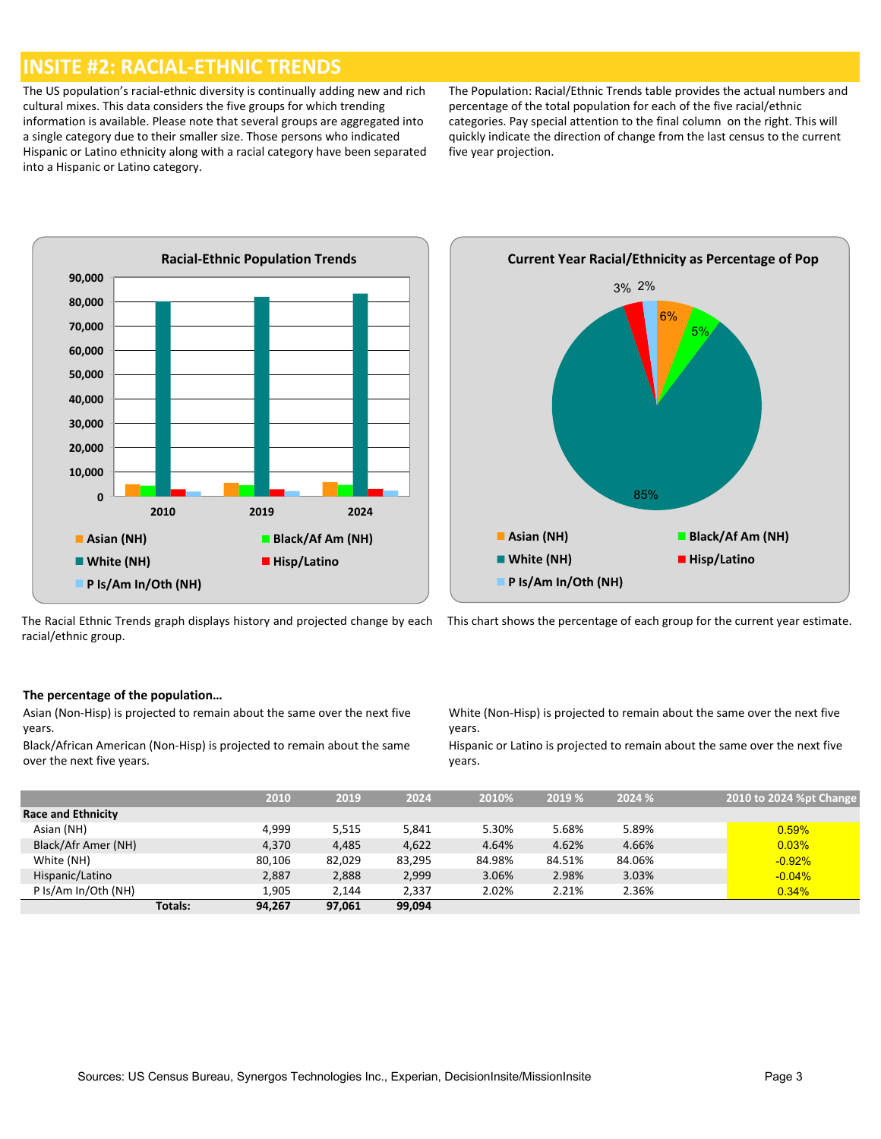### **INSITE #2: RACIAL-ETHNIC TRENDS**

The US population's racial-ethnic diversity is continually adding new and rich cultural mixes. This data considers the five groups for which trending information is available. Please note that several groups are aggregated into a single category due to their smaller size. Those persons who indicated Hispanic or Latino ethnicity along with a racial category have been separated into a Hispanic or Latino category.

The Population: Racial/Ethnic Trends table provides the actual numbers and percentage of the total population for each of the five racial/ethnic categories. Pay special attention to the final column on the right. This will quickly indicate the direction of change from the last census to the current five year projection.



![](_page_2_Figure_4.jpeg)

![](_page_2_Figure_5.jpeg)

This chart shows the percentage of each group for the current year estimate.

#### **The percentage of the population…**

Asian (Non-Hisp) is projected to remain about the same over the next five years.

Black/African American (Non-Hisp) is projected to remain about the same over the next five years.

White (Non-Hisp) is projected to remain about the same over the next five years.

Hispanic or Latino is projected to remain about the same over the next five years.

|                           |                | 2010   | 2019   | 2024   | 2010%  | 2019 % | 2024 % | 2010 to 2024 %pt Change |
|---------------------------|----------------|--------|--------|--------|--------|--------|--------|-------------------------|
|                           |                |        |        |        |        |        |        |                         |
| <b>Race and Ethnicity</b> |                |        |        |        |        |        |        |                         |
| Asian (NH)                |                | 4.999  | 5,515  | 5,841  | 5.30%  | 5.68%  | 5.89%  | 0.59%                   |
| Black/Afr Amer (NH)       |                | 4,370  | 4,485  | 4,622  | 4.64%  | 4.62%  | 4.66%  | 0.03%                   |
| White (NH)                |                | 80,106 | 82,029 | 83,295 | 84.98% | 84.51% | 84.06% | $-0.92%$                |
| Hispanic/Latino           |                | 2,887  | 2,888  | 2,999  | 3.06%  | 2.98%  | 3.03%  | $-0.04%$                |
| P Is/Am In/Oth (NH)       |                | 1,905  | 2.144  | 2.337  | 2.02%  | 2.21%  | 2.36%  | 0.34%                   |
|                           | <b>Totals:</b> | 94,267 | 97,061 | 99,094 |        |        |        |                         |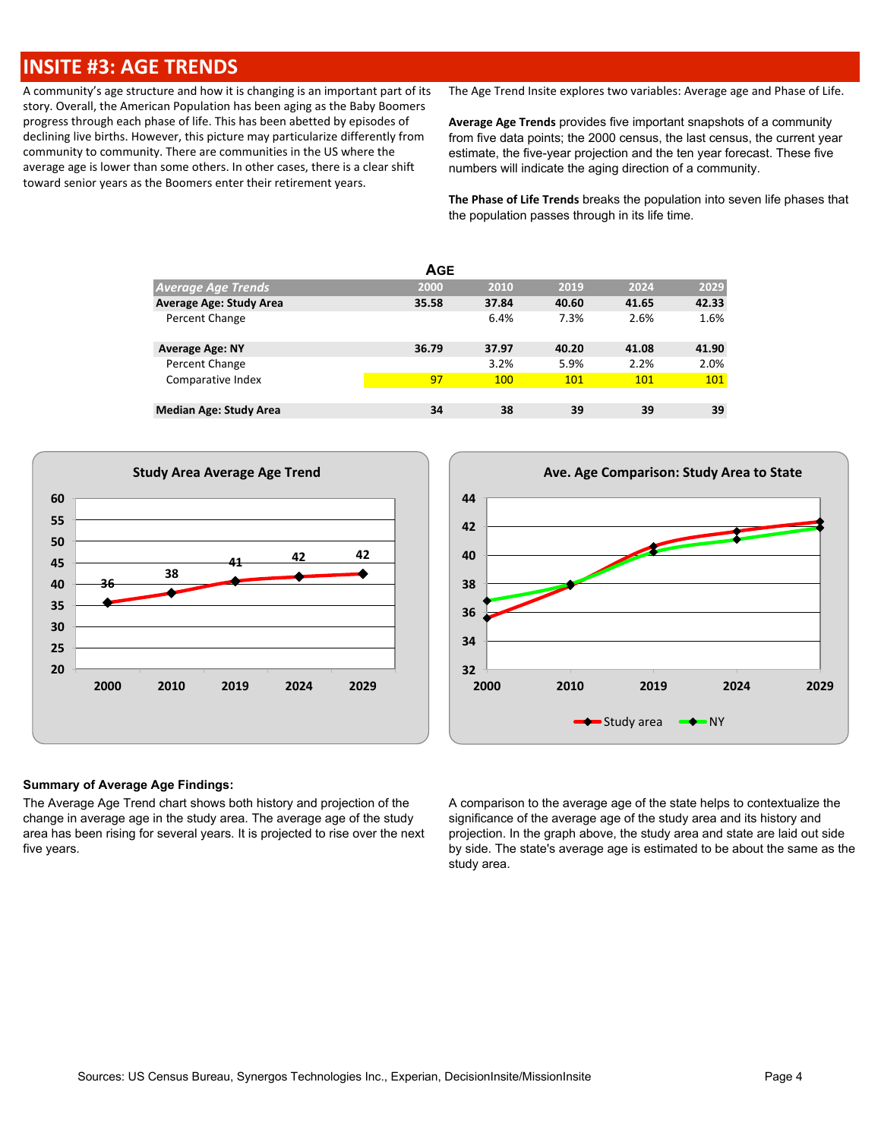### **INSITE #3: AGE TRENDS**

A community's age structure and how it is changing is an important part of its story. Overall, the American Population has been aging as the Baby Boomers progress through each phase of life. This has been abetted by episodes of declining live births. However, this picture may particularize differently from community to community. There are communities in the US where the average age is lower than some others. In other cases, there is a clear shift toward senior years as the Boomers enter their retirement years.

The Age Trend Insite explores two variables: Average age and Phase of Life.

**Average Age Trends** provides five important snapshots of a community from five data points; the 2000 census, the last census, the current year estimate, the five-year projection and the ten year forecast. These five numbers will indicate the aging direction of a community.

**The Phase of Life Trends** breaks the population into seven life phases that the population passes through in its life time.

| <b>AGE</b>                     |       |       |       |       |       |  |  |  |  |  |  |  |
|--------------------------------|-------|-------|-------|-------|-------|--|--|--|--|--|--|--|
| <b>Average Age Trends</b>      | 2000  | 2010  | 2019  | 2024  | 2029  |  |  |  |  |  |  |  |
| <b>Average Age: Study Area</b> | 35.58 | 37.84 | 40.60 | 41.65 | 42.33 |  |  |  |  |  |  |  |
| Percent Change                 |       | 6.4%  | 7.3%  | 2.6%  | 1.6%  |  |  |  |  |  |  |  |
| <b>Average Age: NY</b>         | 36.79 | 37.97 | 40.20 | 41.08 | 41.90 |  |  |  |  |  |  |  |
| Percent Change                 |       | 3.2%  | 5.9%  | 2.2%  | 2.0%  |  |  |  |  |  |  |  |
| Comparative Index              | 97    | 100   | 101   | 101   | 101   |  |  |  |  |  |  |  |
|                                |       |       |       |       |       |  |  |  |  |  |  |  |
| <b>Median Age: Study Area</b>  | 34    | 38    | 39    | 39    | 39    |  |  |  |  |  |  |  |

![](_page_3_Figure_6.jpeg)

![](_page_3_Figure_7.jpeg)

#### **Summary of Average Age Findings:**

The Average Age Trend chart shows both history and projection of the change in average age in the study area. The average age of the study area has been rising for several years. It is projected to rise over the next five years.

A comparison to the average age of the state helps to contextualize the significance of the average age of the study area and its history and projection. In the graph above, the study area and state are laid out side by side. The state's average age is estimated to be about the same as the study area.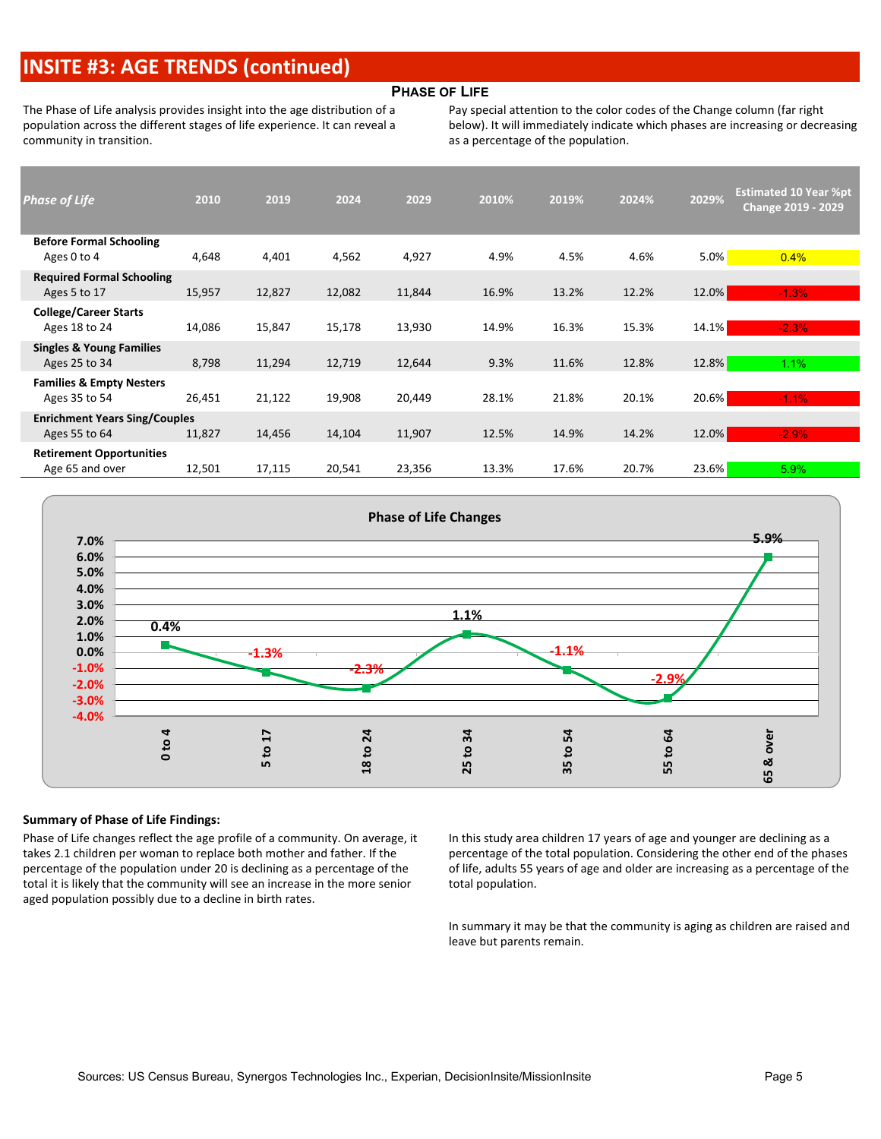## **INSITE #3: AGE TRENDS (continued)**

#### **PHASE OF LIFE**

The Phase of Life analysis provides insight into the age distribution of a population across the different stages of life experience. It can reveal a community in transition.

Pay special attention to the color codes of the Change column (far right below). It will immediately indicate which phases are increasing or decreasing as a percentage of the population.

| <b>Phase of Life</b>                 | 2010   | 2019   | 2024   | 2029   | 2010% | 2019% | 2024% | 2029% | <b>Estimated 10 Year %pt</b><br><b>Change 2019 - 2029</b> |
|--------------------------------------|--------|--------|--------|--------|-------|-------|-------|-------|-----------------------------------------------------------|
| <b>Before Formal Schooling</b>       |        |        |        |        |       |       |       |       |                                                           |
| Ages 0 to 4                          | 4,648  | 4,401  | 4,562  | 4,927  | 4.9%  | 4.5%  | 4.6%  | 5.0%  | 0.4%                                                      |
| <b>Required Formal Schooling</b>     |        |        |        |        |       |       |       |       |                                                           |
| Ages 5 to 17                         | 15,957 | 12,827 | 12,082 | 11,844 | 16.9% | 13.2% | 12.2% | 12.0% | $-1.3%$                                                   |
| <b>College/Career Starts</b>         |        |        |        |        |       |       |       |       |                                                           |
| Ages 18 to 24                        | 14,086 | 15,847 | 15,178 | 13,930 | 14.9% | 16.3% | 15.3% | 14.1% | $-2.3%$                                                   |
| <b>Singles &amp; Young Families</b>  |        |        |        |        |       |       |       |       |                                                           |
| Ages 25 to 34                        | 8,798  | 11,294 | 12,719 | 12,644 | 9.3%  | 11.6% | 12.8% | 12.8% | 1.1%                                                      |
| <b>Families &amp; Empty Nesters</b>  |        |        |        |        |       |       |       |       |                                                           |
| Ages 35 to 54                        | 26,451 | 21,122 | 19,908 | 20,449 | 28.1% | 21.8% | 20.1% | 20.6% | $-1.1%$                                                   |
| <b>Enrichment Years Sing/Couples</b> |        |        |        |        |       |       |       |       |                                                           |
| Ages 55 to 64                        | 11,827 | 14,456 | 14,104 | 11,907 | 12.5% | 14.9% | 14.2% | 12.0% | $-2.9%$                                                   |
| <b>Retirement Opportunities</b>      |        |        |        |        |       |       |       |       |                                                           |
| Age 65 and over                      | 12,501 | 17,115 | 20,541 | 23,356 | 13.3% | 17.6% | 20.7% | 23.6% | 5.9%                                                      |

![](_page_4_Figure_5.jpeg)

#### **Summary of Phase of Life Findings:**

Phase of Life changes reflect the age profile of a community. On average, it takes 2.1 children per woman to replace both mother and father. If the percentage of the population under 20 is declining as a percentage of the total it is likely that the community will see an increase in the more senior aged population possibly due to a decline in birth rates.

In this study area children 17 years of age and younger are declining as a percentage of the total population. Considering the other end of the phases of life, adults 55 years of age and older are increasing as a percentage of the total population.

In summary it may be that the community is aging as children are raised and leave but parents remain.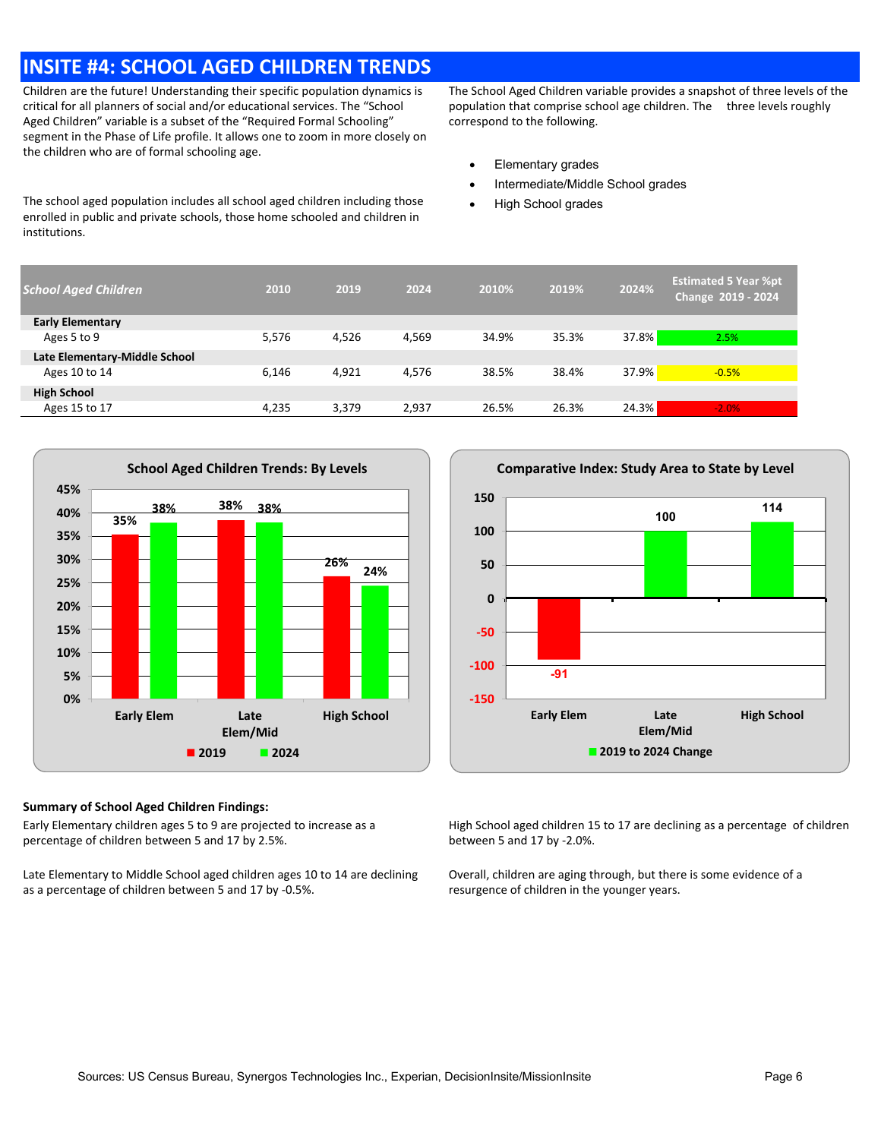### **INSITE #4: SCHOOL AGED CHILDREN TRENDS**

Children are the future! Understanding their specific population dynamics is critical for all planners of social and/or educational services. The "School Aged Children" variable is a subset of the "Required Formal Schooling" segment in the Phase of Life profile. It allows one to zoom in more closely on the children who are of formal schooling age.

The school aged population includes all school aged children including those enrolled in public and private schools, those home schooled and children in institutions.

The School Aged Children variable provides a snapshot of three levels of the population that comprise school age children. The three levels roughly correspond to the following.

- · Elementary grades
- Intermediate/Middle School grades
- **High School grades**

| <b>School Aged Children</b>   | 2010  | 2019  | 2024  | 2010% | 2019% | 2024% | <b>Estimated 5 Year %pt</b><br>Change 2019 - 2024 |
|-------------------------------|-------|-------|-------|-------|-------|-------|---------------------------------------------------|
| <b>Early Elementary</b>       |       |       |       |       |       |       |                                                   |
| Ages 5 to 9                   | 5,576 | 4,526 | 4,569 | 34.9% | 35.3% | 37.8% | 2.5%                                              |
| Late Elementary-Middle School |       |       |       |       |       |       |                                                   |
| Ages 10 to 14                 | 6.146 | 4,921 | 4.576 | 38.5% | 38.4% | 37.9% | $-0.5%$                                           |
| <b>High School</b>            |       |       |       |       |       |       |                                                   |
| Ages 15 to 17                 | 4.235 | 3.379 | 2.937 | 26.5% | 26.3% | 24.3% | $-2.0%$                                           |

![](_page_5_Figure_8.jpeg)

#### **Summary of School Aged Children Findings:**

Early Elementary children ages 5 to 9 are projected to increase as a percentage of children between 5 and 17 by 2.5%.

Late Elementary to Middle School aged children ages 10 to 14 are declining as a percentage of children between 5 and 17 by -0.5%.

![](_page_5_Figure_12.jpeg)

High School aged children 15 to 17 are declining as a percentage of children between 5 and 17 by -2.0%.

Overall, children are aging through, but there is some evidence of a resurgence of children in the younger years.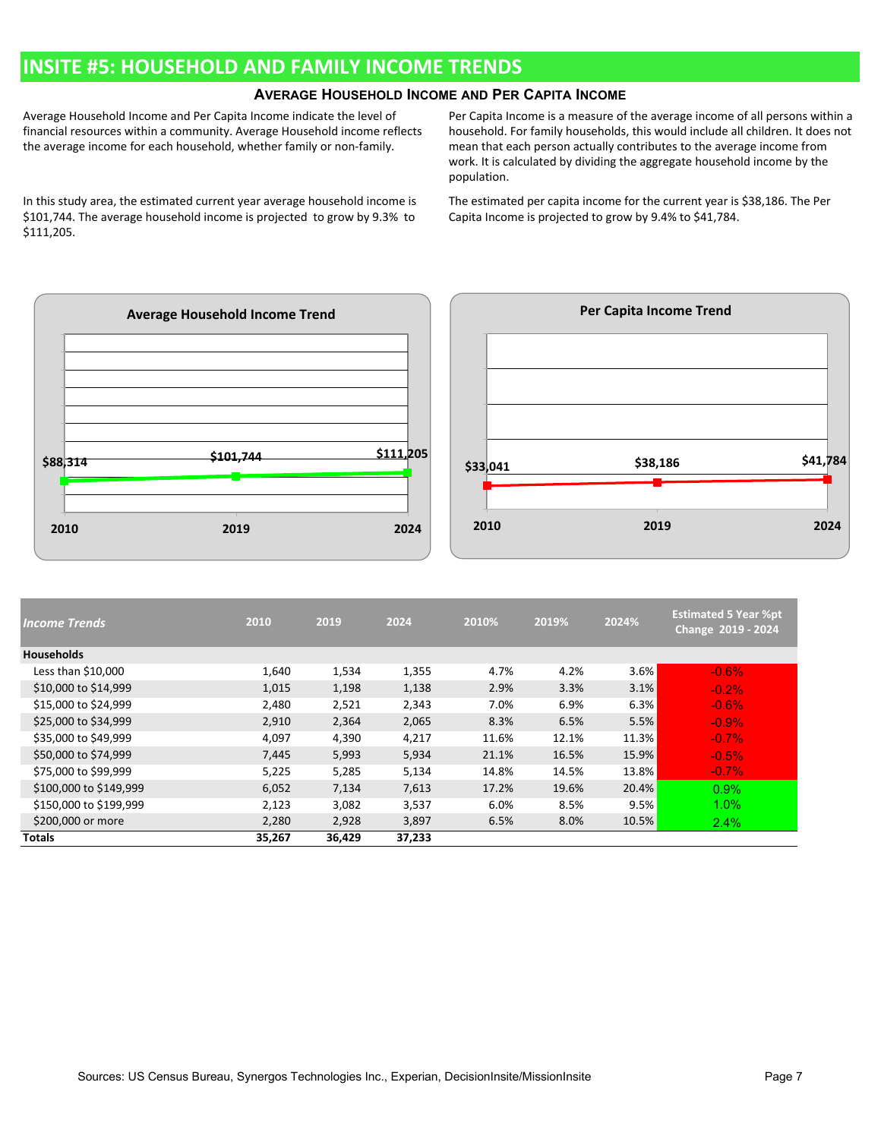### **INSITE #5: HOUSEHOLD AND FAMILY INCOME TRENDS**

### **AVERAGE HOUSEHOLD INCOME AND PER CAPITA INCOME**

Average Household Income and Per Capita Income indicate the level of financial resources within a community. Average Household income reflects the average income for each household, whether family or non-family.

In this study area, the estimated current year average household income is \$101,744. The average household income is projected to grow by 9.3% to \$111,205.

Per Capita Income is a measure of the average income of all persons within a household. For family households, this would include all children. It does not mean that each person actually contributes to the average income from work. It is calculated by dividing the aggregate household income by the population.

The estimated per capita income for the current year is \$38,186. The Per Capita Income is projected to grow by 9.4% to \$41,784.

![](_page_6_Figure_6.jpeg)

| <b>Income Trends</b>   | 2010   | 2019   | 2024   | 2010% | 2019% | 2024% | <b>Estimated 5 Year %pt</b><br>Change 2019 - 2024 |
|------------------------|--------|--------|--------|-------|-------|-------|---------------------------------------------------|
| <b>Households</b>      |        |        |        |       |       |       |                                                   |
| Less than $$10,000$    | 1,640  | 1,534  | 1,355  | 4.7%  | 4.2%  | 3.6%  | $-0.6%$                                           |
| \$10,000 to \$14,999   | 1,015  | 1,198  | 1,138  | 2.9%  | 3.3%  | 3.1%  | $-0.2%$                                           |
| \$15,000 to \$24,999   | 2,480  | 2,521  | 2,343  | 7.0%  | 6.9%  | 6.3%  | $-0.6%$                                           |
| \$25,000 to \$34,999   | 2,910  | 2,364  | 2,065  | 8.3%  | 6.5%  | 5.5%  | $-0.9%$                                           |
| \$35,000 to \$49,999   | 4,097  | 4,390  | 4,217  | 11.6% | 12.1% | 11.3% | $-0.7%$                                           |
| \$50,000 to \$74,999   | 7,445  | 5,993  | 5,934  | 21.1% | 16.5% | 15.9% | $-0.5%$                                           |
| \$75,000 to \$99,999   | 5,225  | 5,285  | 5,134  | 14.8% | 14.5% | 13.8% | $-0.7%$                                           |
| \$100,000 to \$149,999 | 6,052  | 7,134  | 7,613  | 17.2% | 19.6% | 20.4% | 0.9%                                              |
| \$150,000 to \$199,999 | 2,123  | 3,082  | 3,537  | 6.0%  | 8.5%  | 9.5%  | $1.0\%$                                           |
| \$200,000 or more      | 2,280  | 2,928  | 3,897  | 6.5%  | 8.0%  | 10.5% | 2.4%                                              |
| <b>Totals</b>          | 35,267 | 36,429 | 37,233 |       |       |       |                                                   |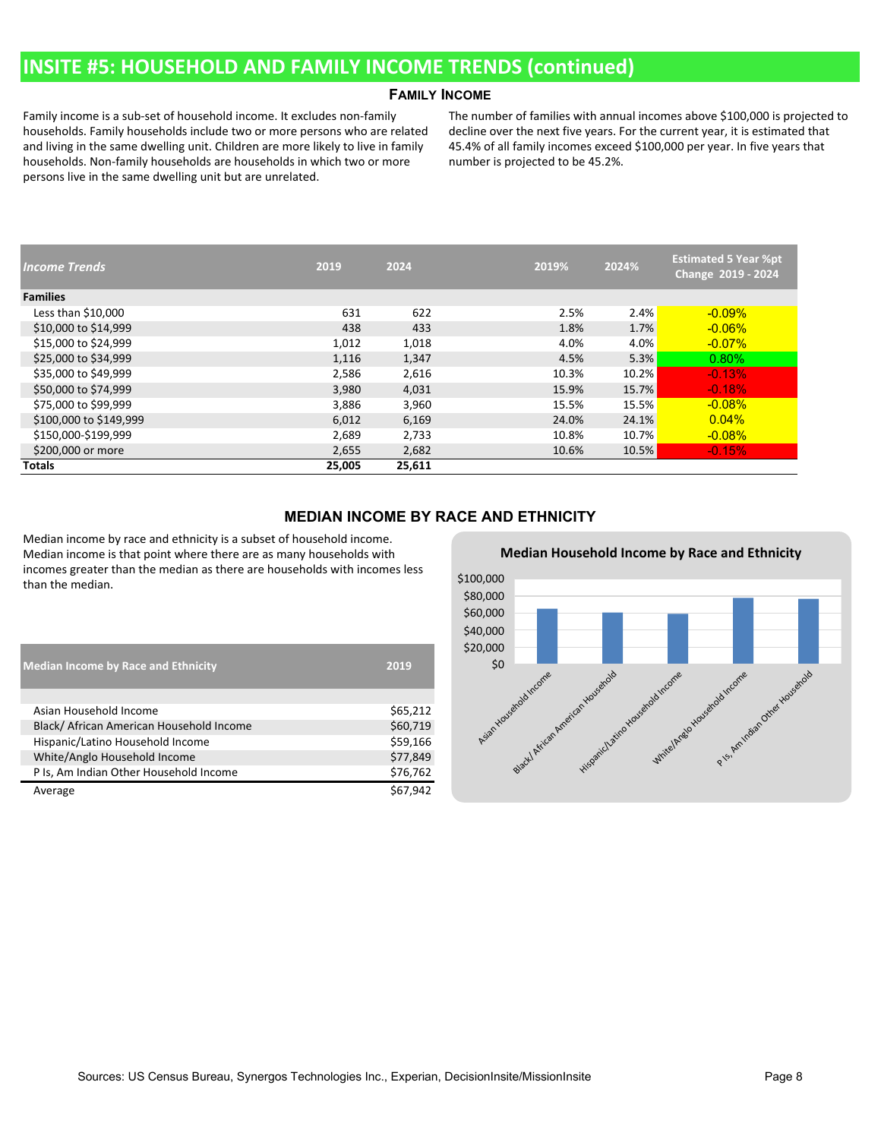### **INSITE #5: HOUSEHOLD AND FAMILY INCOME TRENDS (continued)**

#### **FAMILY INCOME**

Family income is a sub-set of household income. It excludes non-family households. Family households include two or more persons who are related and living in the same dwelling unit. Children are more likely to live in family households. Non-family households are households in which two or more persons live in the same dwelling unit but are unrelated.

The number of families with annual incomes above \$100,000 is projected to decline over the next five years. For the current year, it is estimated that 45.4% of all family incomes exceed \$100,000 per year. In five years that number is projected to be 45.2%.

| <b>Income Trends</b>   | 2019   | 2024   | 2019% | 2024% | <b>Estimated 5 Year %pt</b><br>Change 2019 - 2024 |
|------------------------|--------|--------|-------|-------|---------------------------------------------------|
| <b>Families</b>        |        |        |       |       |                                                   |
| Less than $$10,000$    | 631    | 622    | 2.5%  | 2.4%  | $-0.09%$                                          |
| \$10,000 to \$14,999   | 438    | 433    | 1.8%  | 1.7%  | $-0.06\%$                                         |
| \$15,000 to \$24,999   | 1,012  | 1,018  | 4.0%  | 4.0%  | $-0.07\%$                                         |
| \$25,000 to \$34,999   | 1,116  | 1,347  | 4.5%  | 5.3%  | $0.80\%$                                          |
| \$35,000 to \$49,999   | 2,586  | 2,616  | 10.3% | 10.2% | $-0.13%$                                          |
| \$50,000 to \$74,999   | 3,980  | 4,031  | 15.9% | 15.7% | $-0.18%$                                          |
| \$75,000 to \$99,999   | 3,886  | 3,960  | 15.5% | 15.5% | $-0.08%$                                          |
| \$100,000 to \$149,999 | 6,012  | 6,169  | 24.0% | 24.1% | 0.04%                                             |
| \$150,000-\$199,999    | 2,689  | 2,733  | 10.8% | 10.7% | $-0.08\%$                                         |
| \$200,000 or more      | 2,655  | 2,682  | 10.6% | 10.5% | $-0.15%$                                          |
| <b>Totals</b>          | 25,005 | 25,611 |       |       |                                                   |

#### **MEDIAN INCOME BY RACE AND ETHNICITY**

Median income by race and ethnicity is a subset of household income. Median income is that point where there are as many households with incomes greater than the median as there are households with incomes less than the median.

| <b>Median Income by Race and Ethnicity</b> | 2019     |
|--------------------------------------------|----------|
|                                            |          |
| Asian Household Income                     | \$65,212 |
| Black/ African American Household Income   | \$60,719 |
| Hispanic/Latino Household Income           | \$59,166 |
| White/Anglo Household Income               | \$77,849 |
| P Is, Am Indian Other Household Income     | \$76,762 |
| Average                                    | \$67.942 |

![](_page_7_Figure_8.jpeg)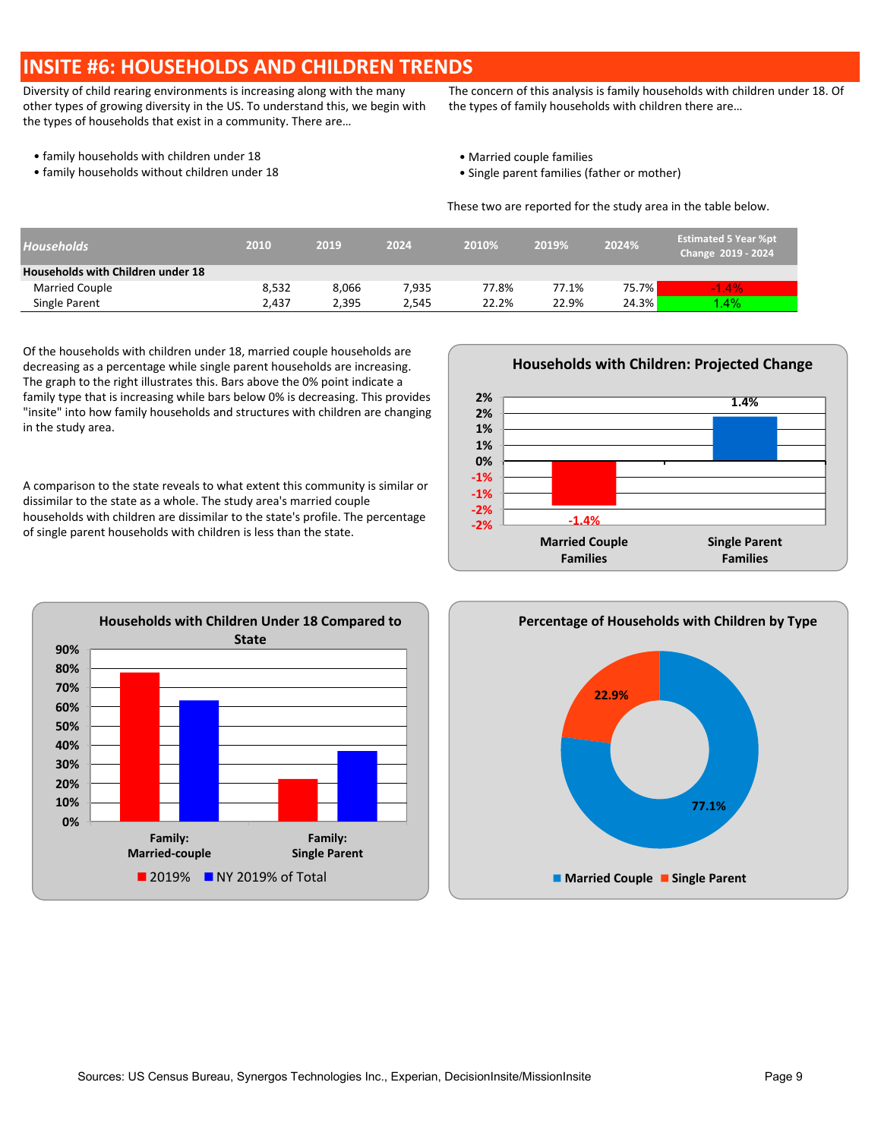### **INSITE #6: HOUSEHOLDS AND CHILDREN TRENDS**

Diversity of child rearing environments is increasing along with the many other types of growing diversity in the US. To understand this, we begin with the types of households that exist in a community. There are…

The concern of this analysis is family households with children under 18. Of the types of family households with children there are…

- family households with children under 18  **Married couple families** Married couple families
- family households without children under 18 **•** Single parent families (father or mother)
- -

These two are reported for the study area in the table below.

| <b>Households</b>                 | 2010  | 2019  | 2024  | 2010% | 2019% | 2024% | <b>Estimated 5 Year %pt</b><br>Change 2019 - 2024 |
|-----------------------------------|-------|-------|-------|-------|-------|-------|---------------------------------------------------|
| Households with Children under 18 |       |       |       |       |       |       |                                                   |
| Married Couple                    | 8,532 | 8.066 | 7.935 | 77.8% | 77.1% | 75.7% | $-1.4\%$                                          |
| Single Parent                     | 2.437 | 2.395 | 2.545 | 22.2% | 22.9% | 24.3% | $1.4\%$                                           |

Of the households with children under 18, married couple households are decreasing as a percentage while single parent households are increasing. The graph to the right illustrates this. Bars above the 0% point indicate a family type that is increasing while bars below 0% is decreasing. This provides "insite" into how family households and structures with children are changing in the study area.

A comparison to the state reveals to what extent this community is similar or dissimilar to the state as a whole. The study area's married couple households with children are dissimilar to the state's profile. The percentage of single parent households with children is less than the state.

![](_page_8_Figure_11.jpeg)

![](_page_8_Figure_12.jpeg)

![](_page_8_Figure_13.jpeg)

#### **Households with Children: Projected Change**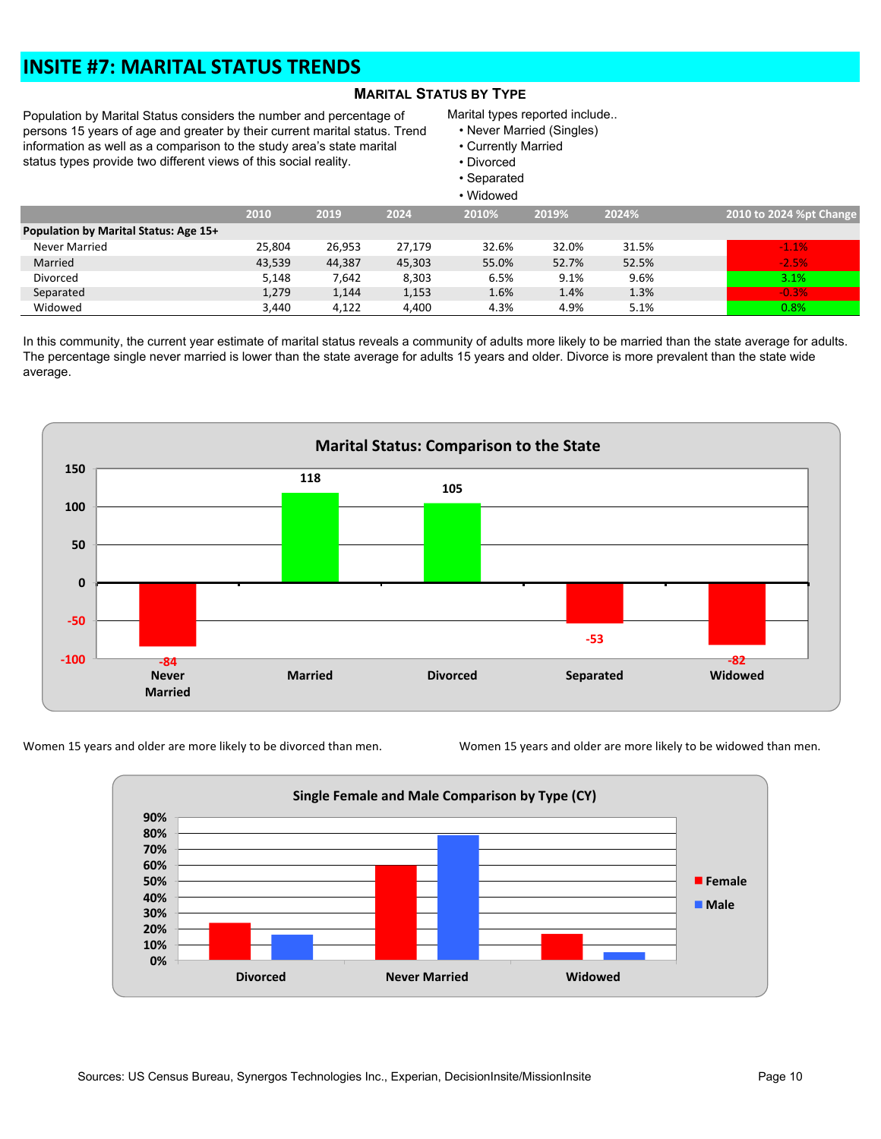## **INSITE #7: MARITAL STATUS TRENDS**

### **MARITAL STATUS BY TYPE**

Population by Marital Status considers the number and percentage of persons 15 years of age and greater by their current marital status. Trend information as well as a comparison to the study area's state marital status types provide two different views of this social reality.

#### Marital types reported include..

- Never Married (Singles)
- Currently Married
- Divorced
- Separated
- Widowed

|                                       | , indomed |        |        |       |       |       |                         |  |  |  |  |
|---------------------------------------|-----------|--------|--------|-------|-------|-------|-------------------------|--|--|--|--|
|                                       | 2010      | 2019   | 2024   | 2010% | 2019% | 2024% | 2010 to 2024 %pt Change |  |  |  |  |
| Population by Marital Status: Age 15+ |           |        |        |       |       |       |                         |  |  |  |  |
| Never Married                         | 25,804    | 26,953 | 27,179 | 32.6% | 32.0% | 31.5% | $-1.1%$                 |  |  |  |  |
| Married                               | 43,539    | 44,387 | 45,303 | 55.0% | 52.7% | 52.5% | $-2.5%$                 |  |  |  |  |
| Divorced                              | 5,148     | 7,642  | 8,303  | 6.5%  | 9.1%  | 9.6%  | 3.1%                    |  |  |  |  |
| Separated                             | 1,279     | 1,144  | 1,153  | 1.6%  | 1.4%  | 1.3%  | $-0.3%$                 |  |  |  |  |
| Widowed                               | 3.440     | 4,122  | 4,400  | 4.3%  | 4.9%  | 5.1%  | 0.8%                    |  |  |  |  |

In this community, the current year estimate of marital status reveals a community of adults more likely to be married than the state average for adults. The percentage single never married is lower than the state average for adults 15 years and older. Divorce is more prevalent than the state wide average.

![](_page_9_Figure_11.jpeg)

![](_page_9_Figure_12.jpeg)

![](_page_9_Figure_14.jpeg)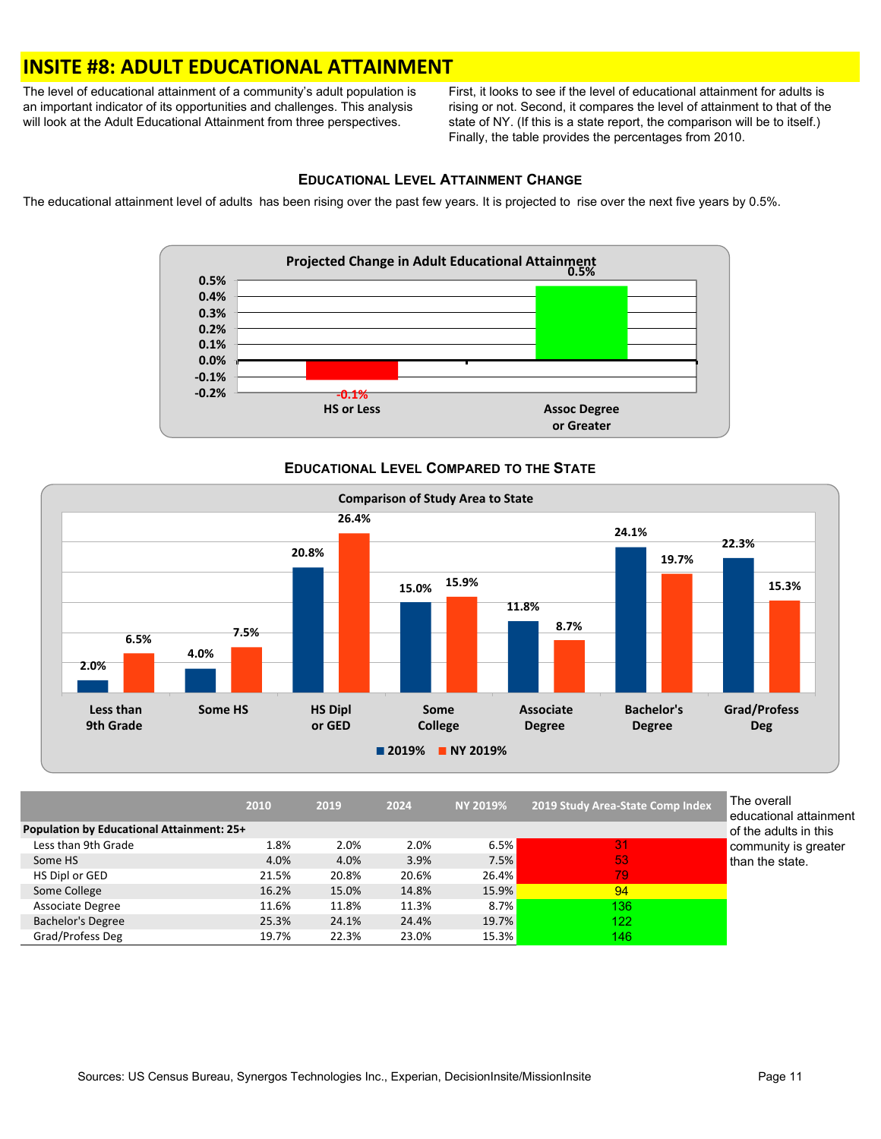### **INSITE #8: ADULT EDUCATIONAL ATTAINMENT**

The level of educational attainment of a community's adult population is an important indicator of its opportunities and challenges. This analysis will look at the Adult Educational Attainment from three perspectives.

First, it looks to see if the level of educational attainment for adults is rising or not. Second, it compares the level of attainment to that of the state of NY. (If this is a state report, the comparison will be to itself.) Finally, the table provides the percentages from 2010.

### **EDUCATIONAL LEVEL ATTAINMENT CHANGE**

The educational attainment level of adults has been rising over the past few years. It is projected to rise over the next five years by 0.5%.

![](_page_10_Figure_5.jpeg)

### **EDUCATIONAL LEVEL COMPARED TO THE STATE**

![](_page_10_Figure_7.jpeg)

|                                                  | 2010  | 2019  | 2024  | <b>NY 2019%</b> | 2019 Study Area-State Comp Index | The overall<br>∣educationa |
|--------------------------------------------------|-------|-------|-------|-----------------|----------------------------------|----------------------------|
| <b>Population by Educational Attainment: 25+</b> |       |       |       |                 |                                  | of the adult               |
| Less than 9th Grade                              | 1.8%  | 2.0%  | 2.0%  | 6.5%            | 31                               | community                  |
| Some HS                                          | 4.0%  | 4.0%  | 3.9%  | 7.5%            | 53                               | than the sta               |
| HS Dipl or GED                                   | 21.5% | 20.8% | 20.6% | 26.4%           | 79                               |                            |
| Some College                                     | 16.2% | 15.0% | 14.8% | 15.9%           | 94                               |                            |
| <b>Associate Degree</b>                          | 11.6% | 11.8% | 11.3% | $8.7\%$         | 136                              |                            |
| <b>Bachelor's Degree</b>                         | 25.3% | 24.1% | 24.4% | <b>19.7%</b>    | 122                              |                            |
| Grad/Profess Deg                                 | 19.7% | 22.3% | 23.0% | <b>15.3%</b>    | 146                              |                            |

onal attainment dults in this nity is greater state.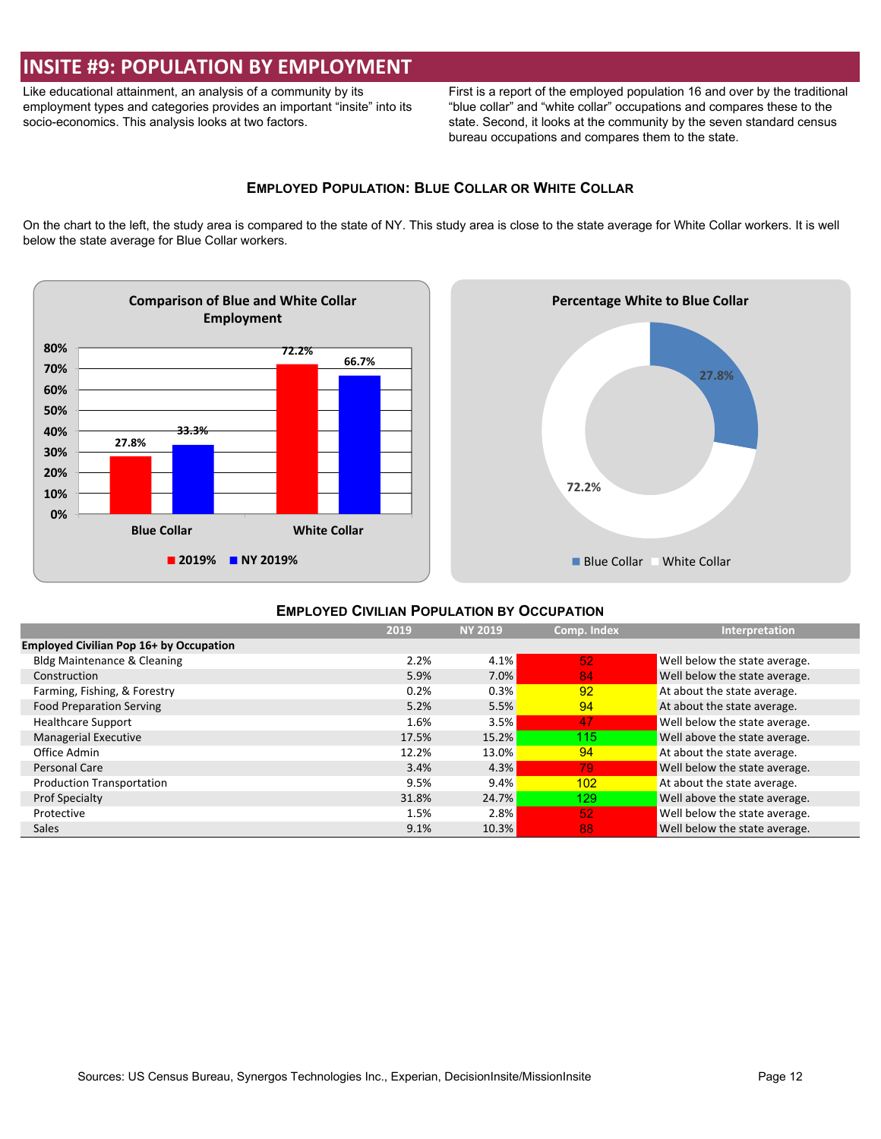### **INSITE #9: POPULATION BY EMPLOYMENT**

Like educational attainment, an analysis of a community by its employment types and categories provides an important "insite" into its socio-economics. This analysis looks at two factors.

First is a report of the employed population 16 and over by the traditional "blue collar" and "white collar" occupations and compares these to the state. Second, it looks at the community by the seven standard census bureau occupations and compares them to the state.

### **EMPLOYED POPULATION: BLUE COLLAR OR WHITE COLLAR**

On the chart to the left, the study area is compared to the state of NY. This study area is close to the state average for White Collar workers. It is well below the state average for Blue Collar workers.

![](_page_11_Figure_5.jpeg)

![](_page_11_Figure_6.jpeg)

### **EMPLOYED CIVILIAN POPULATION BY OCCUPATION**

|                                                | 2019  | <b>NY 2019</b> | Comp. Index | Interpretation                |
|------------------------------------------------|-------|----------------|-------------|-------------------------------|
| <b>Employed Civilian Pop 16+ by Occupation</b> |       |                |             |                               |
| <b>Bldg Maintenance &amp; Cleaning</b>         | 2.2%  | 4.1%           | 52          | Well below the state average. |
| Construction                                   | 5.9%  | $7.0\%$        | 84          | Well below the state average. |
| Farming, Fishing, & Forestry                   | 0.2%  | 0.3%           | 92          | At about the state average.   |
| <b>Food Preparation Serving</b>                | 5.2%  | 5.5%           | 94          | At about the state average.   |
| <b>Healthcare Support</b>                      | 1.6%  | 3.5%           | 47          | Well below the state average. |
| <b>Managerial Executive</b>                    | 17.5% | 15.2%          | 115.        | Well above the state average. |
| Office Admin                                   | 12.2% | 13.0%          | 94          | At about the state average.   |
| Personal Care                                  | 3.4%  | 4.3%           | 79          | Well below the state average. |
| <b>Production Transportation</b>               | 9.5%  | 9.4%           | 102         | At about the state average.   |
| <b>Prof Specialty</b>                          | 31.8% | 24.7%          | 129.        | Well above the state average. |
| Protective                                     | 1.5%  | 2.8%           | 52          | Well below the state average. |
| <b>Sales</b>                                   | 9.1%  | 10.3%          | 88          | Well below the state average. |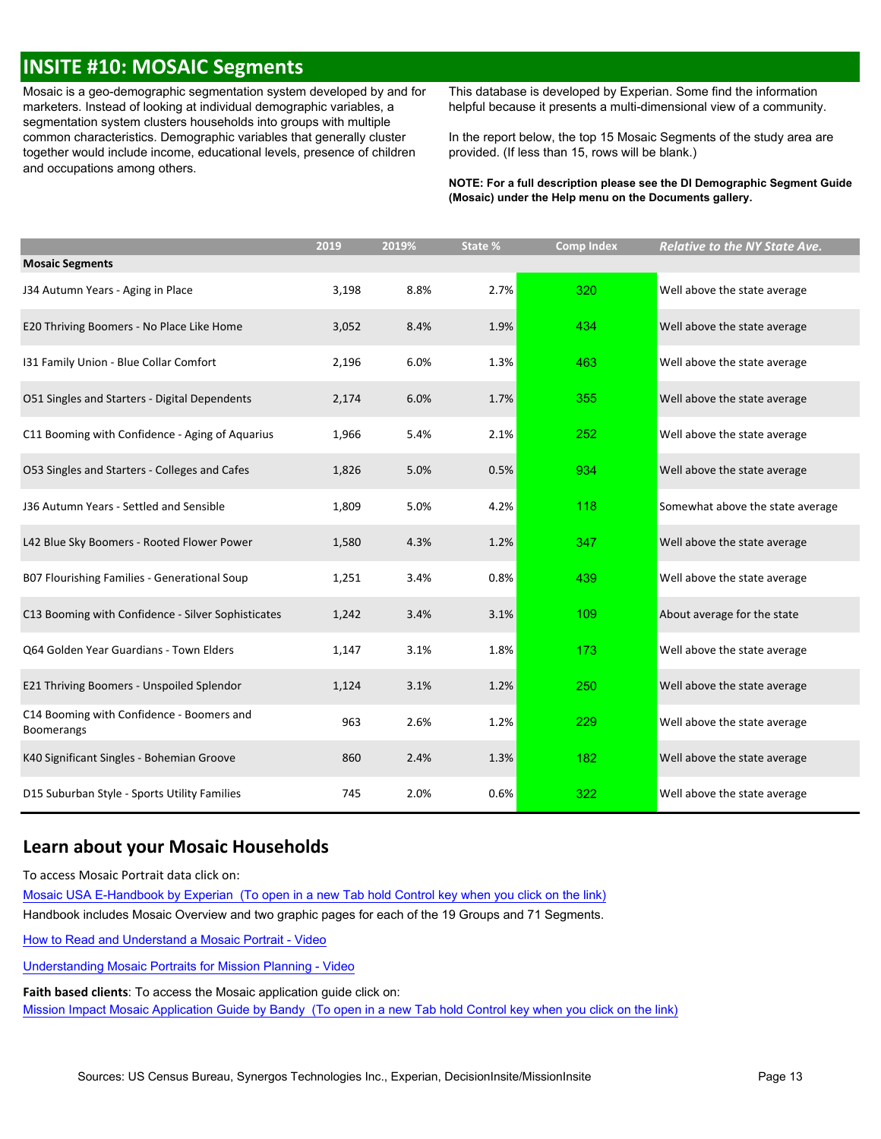### **INSITE #10: MOSAIC Segments**

Mosaic is a geo-demographic segmentation system developed by and for marketers. Instead of looking at individual demographic variables, a segmentation system clusters households into groups with multiple common characteristics. Demographic variables that generally cluster together would include income, educational levels, presence of children and occupations among others.

This database is developed by Experian. Some find the information helpful because it presents a multi-dimensional view of a community.

In the report below, the top 15 Mosaic Segments of the study area are provided. (If less than 15, rows will be blank.)

**NOTE: For a full description please see the DI Demographic Segment Guide (Mosaic) under the Help menu on the Documents gallery.**

|                                                                | 2019  | 2019% | State % | <b>Comp Index</b> | <b>Relative to the NY State Ave.</b> |
|----------------------------------------------------------------|-------|-------|---------|-------------------|--------------------------------------|
| <b>Mosaic Segments</b>                                         |       |       |         |                   |                                      |
| J34 Autumn Years - Aging in Place                              | 3,198 | 8.8%  | 2.7%    | 320               | Well above the state average         |
| E20 Thriving Boomers - No Place Like Home                      | 3,052 | 8.4%  | 1.9%    | 434               | Well above the state average         |
| 131 Family Union - Blue Collar Comfort                         | 2,196 | 6.0%  | 1.3%    | 463               | Well above the state average         |
| O51 Singles and Starters - Digital Dependents                  | 2,174 | 6.0%  | 1.7%    | 355               | Well above the state average         |
| C11 Booming with Confidence - Aging of Aquarius                | 1,966 | 5.4%  | 2.1%    | 252               | Well above the state average         |
| O53 Singles and Starters - Colleges and Cafes                  | 1,826 | 5.0%  | 0.5%    | 934               | Well above the state average         |
| J36 Autumn Years - Settled and Sensible                        | 1,809 | 5.0%  | 4.2%    | 118               | Somewhat above the state average     |
| L42 Blue Sky Boomers - Rooted Flower Power                     | 1,580 | 4.3%  | 1.2%    | 347               | Well above the state average         |
| B07 Flourishing Families - Generational Soup                   | 1,251 | 3.4%  | 0.8%    | 439               | Well above the state average         |
| C13 Booming with Confidence - Silver Sophisticates             | 1,242 | 3.4%  | 3.1%    | 109               | About average for the state          |
| Q64 Golden Year Guardians - Town Elders                        | 1,147 | 3.1%  | 1.8%    | 173               | Well above the state average         |
| E21 Thriving Boomers - Unspoiled Splendor                      | 1,124 | 3.1%  | 1.2%    | 250               | Well above the state average         |
| C14 Booming with Confidence - Boomers and<br><b>Boomerangs</b> | 963   | 2.6%  | 1.2%    | 229               | Well above the state average         |
| K40 Significant Singles - Bohemian Groove                      | 860   | 2.4%  | 1.3%    | 182               | Well above the state average         |
| D15 Suburban Style - Sports Utility Families                   | 745   | 2.0%  | 0.6%    | 322               | Well above the state average         |

### **Learn about your Mosaic Households**

To access Mosaic Portrait data click on:

Mosaic USA E-Handbook by [Experian \(To](https://s3-us-west-2.amazonaws.com/mi-docs/Mosaic+USA+E-Handbook.pdf) open in a new Tab hold Control key when you click on the link) Handbook includes Mosaic Overview and two graphic pages for each of the 19 Groups and 71 Segments.

How to Read and [Understand](https://s3-us-west-2.amazonaws.com/misupport/videos/NewUI/Mosaic+E-Handbook+How+to+Read+and+Understand+a+Mosaic+Portrait+w+Nar.mp4) a Mosaic Portrait - Video

[Understanding](https://s3-us-west-2.amazonaws.com/misupport/videos/NewUI/Mosaic+E-Handbook+Understanding+Mosaic+Portraits+for+Ministry+Planning+v2+w+Nar.mp4) Mosaic Portraits for Mission Planning - Video

**Faith based clients**: To access the Mosaic application guide click on: Mission Impact Mosaic Application Guide by [Bandy \(To](http://missioninsite.com/missionimpact-guide/) open in a new Tab hold Control key when you click on the link)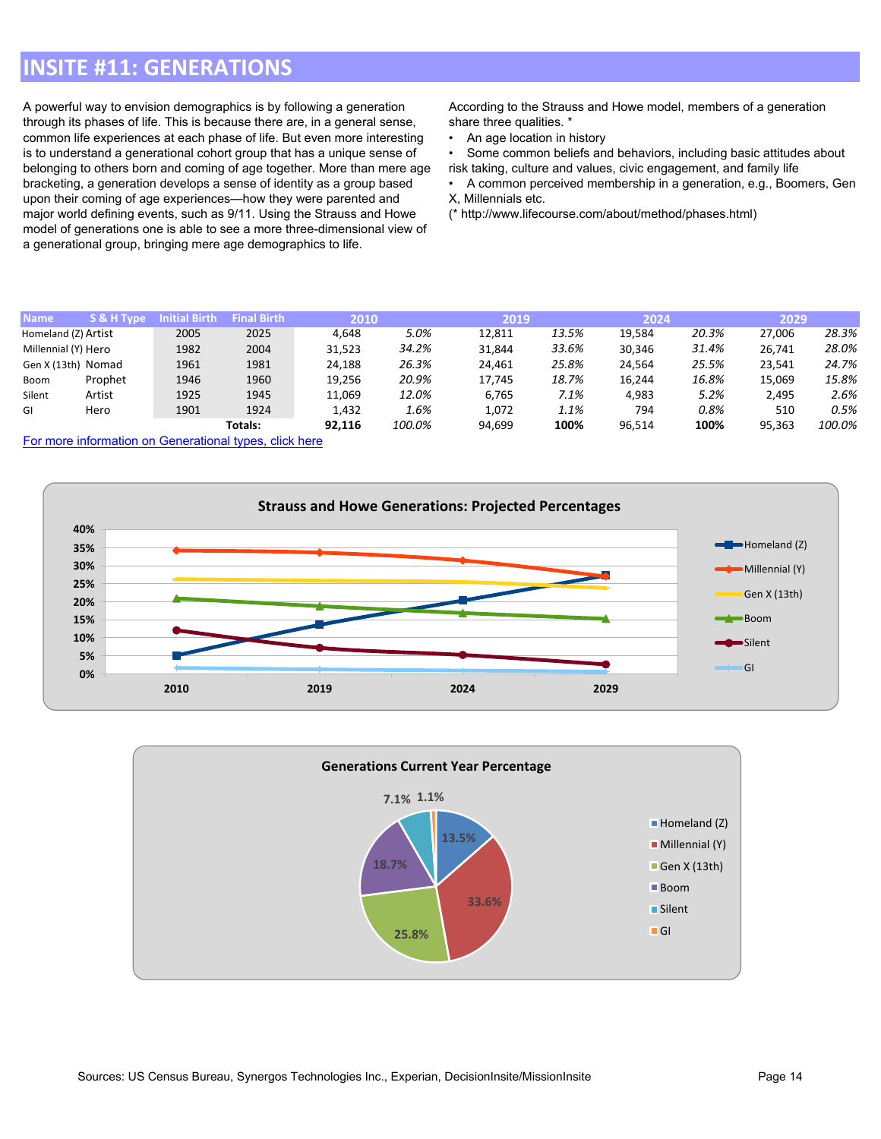## **INSITE #11: GENERATIONS**

A powerful way to envision demographics is by following a generation through its phases of life. This is because there are, in a general sense, common life experiences at each phase of life. But even more interesting is to understand a generational cohort group that has a unique sense of belonging to others born and coming of age together. More than mere age bracketing, a generation develops a sense of identity as a group based upon their coming of age experiences—how they were parented and major world defining events, such as 9/11. Using the Strauss and Howe model of generations one is able to see a more three-dimensional view of a generational group, bringing mere age demographics to life.

According to the Strauss and Howe model, members of a generation share three qualities. \*

• An age location in history

• Some common beliefs and behaviors, including basic attitudes about risk taking, culture and values, civic engagement, and family life

• A common perceived membership in a generation, e.g., Boomers, Gen X, Millennials etc.

(\* http://www.lifecourse.com/about/method/phases.html)

| <b>Name</b>         | S & H Type | <b>Initial Birth</b> | <b>Final Birth</b> | 2010   |        | 2019   |       | 2024   |       | 2029   |        |
|---------------------|------------|----------------------|--------------------|--------|--------|--------|-------|--------|-------|--------|--------|
| Homeland (Z) Artist |            | 2005                 | 2025               | 4.648  | 5.0%   | 12.811 | 13.5% | 19.584 | 20.3% | 27.006 | 28.3%  |
| Millennial (Y) Hero |            | 1982                 | 2004               | 31.523 | 34.2%  | 31,844 | 33.6% | 30.346 | 31.4% | 26.741 | 28.0%  |
| Gen X (13th) Nomad  |            | 1961                 | 1981               | 24.188 | 26.3%  | 24.461 | 25.8% | 24.564 | 25.5% | 23.541 | 24.7%  |
| Boom                | Prophet    | 1946                 | 1960               | 19,256 | 20.9%  | 17.745 | 18.7% | 16.244 | 16.8% | 15,069 | 15.8%  |
| Silent              | Artist     | 1925                 | 1945               | 11,069 | 12.0%  | 6,765  | 7.1%  | 4.983  | 5.2%  | 2.495  | 2.6%   |
| GI                  | Hero       | 1901                 | 1924               | 1,432  | 1.6%   | 1,072  | 1.1%  | 794    | 0.8%  | 510    | 0.5%   |
|                     |            |                      | Totals:            | 92,116 | 100.0% | 94,699 | 100%  | 96,514 | 100%  | 95,363 | 100.0% |

For more information on [Generational](https://en.wikipedia.org/wiki/Generation#List_of_generations) types, click here

![](_page_13_Figure_9.jpeg)

![](_page_13_Figure_10.jpeg)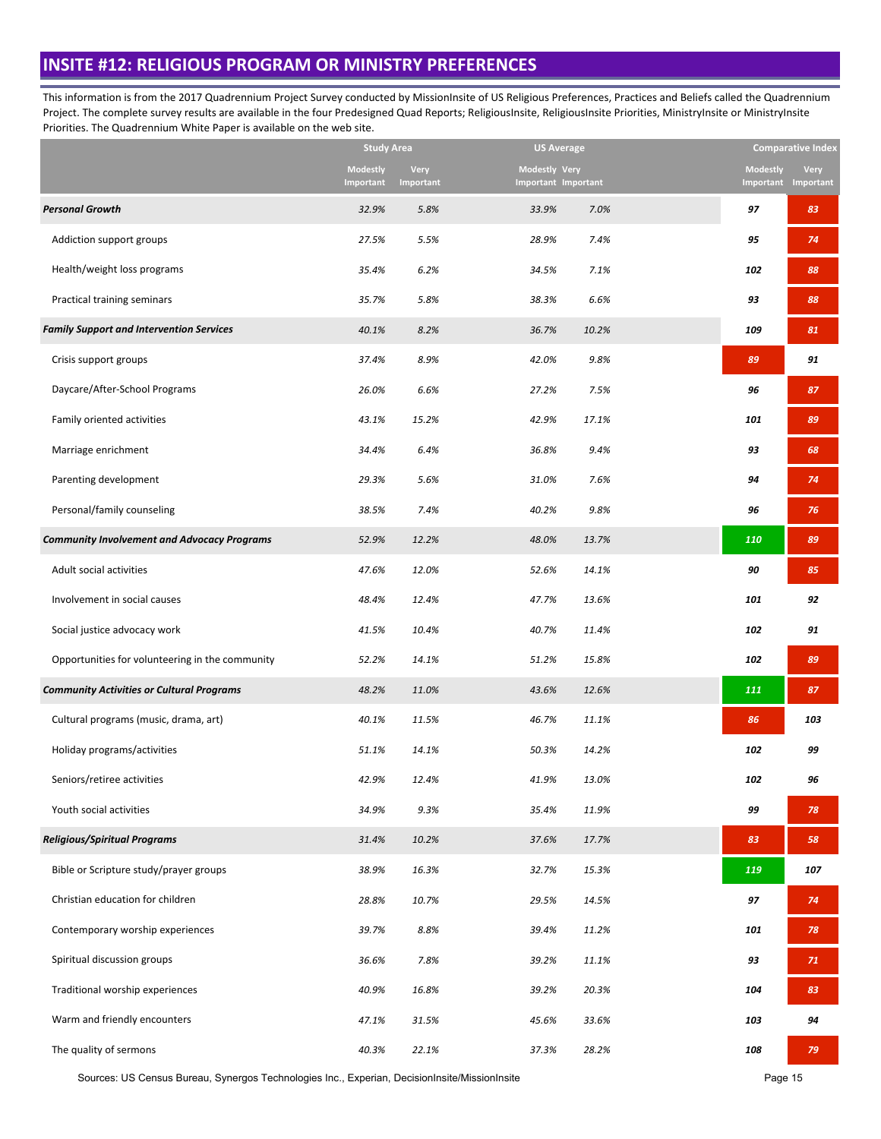### **INSITE #12: RELIGIOUS PROGRAM OR MINISTRY PREFERENCES**

This information is from the 2017 Quadrennium Project Survey conducted by MissionInsite of US Religious Preferences, Practices and Beliefs called the Quadrennium Project. The complete survey results are available in the four Predesigned Quad Reports; ReligiousInsite, ReligiousInsite Priorities, MinistryInsite or MinistryInsite Priorities. The Quadrennium White Paper is available on the web site.

|                                                    | <b>Study Area</b>            |                          | <b>US Average</b>                           |       |                 | <b>Comparative Index</b>           |
|----------------------------------------------------|------------------------------|--------------------------|---------------------------------------------|-------|-----------------|------------------------------------|
|                                                    | <b>Modestly</b><br>Important | <b>Very</b><br>Important | Modestly Very<br><b>Important Important</b> |       | <b>Modestly</b> | <b>Very</b><br>Important Important |
| <b>Personal Growth</b>                             | 32.9%                        | 5.8%                     | 33.9%                                       | 7.0%  | 97              | 83                                 |
| Addiction support groups                           | 27.5%                        | 5.5%                     | 28.9%                                       | 7.4%  | 95              | 74                                 |
| Health/weight loss programs                        | 35.4%                        | 6.2%                     | 34.5%                                       | 7.1%  | 102             | 88                                 |
| Practical training seminars                        | 35.7%                        | 5.8%                     | 38.3%                                       | 6.6%  | 93              | 88                                 |
| <b>Family Support and Intervention Services</b>    | 40.1%                        | 8.2%                     | 36.7%                                       | 10.2% | 109             | 81                                 |
| Crisis support groups                              | 37.4%                        | 8.9%                     | 42.0%                                       | 9.8%  | 89              | 91                                 |
| Daycare/After-School Programs                      | 26.0%                        | 6.6%                     | 27.2%                                       | 7.5%  | 96              | 87                                 |
| Family oriented activities                         | 43.1%                        | 15.2%                    | 42.9%                                       | 17.1% | 101             | 89                                 |
| Marriage enrichment                                | 34.4%                        | 6.4%                     | 36.8%                                       | 9.4%  | 93              | 68                                 |
| Parenting development                              | 29.3%                        | 5.6%                     | 31.0%                                       | 7.6%  | 94              | 74                                 |
| Personal/family counseling                         | 38.5%                        | 7.4%                     | 40.2%                                       | 9.8%  | 96              | 76                                 |
| <b>Community Involvement and Advocacy Programs</b> | 52.9%                        | 12.2%                    | 48.0%                                       | 13.7% | 110             | 89                                 |
| Adult social activities                            | 47.6%                        | 12.0%                    | 52.6%                                       | 14.1% | 90              | 85                                 |
| Involvement in social causes                       | 48.4%                        | 12.4%                    | 47.7%                                       | 13.6% | 101             | 92                                 |
| Social justice advocacy work                       | 41.5%                        | 10.4%                    | 40.7%                                       | 11.4% | 102             | 91                                 |
| Opportunities for volunteering in the community    | 52.2%                        | 14.1%                    | 51.2%                                       | 15.8% | 102             | 89                                 |
| <b>Community Activities or Cultural Programs</b>   | 48.2%                        | 11.0%                    | 43.6%                                       | 12.6% | 111             | 87                                 |
| Cultural programs (music, drama, art)              | 40.1%                        | 11.5%                    | 46.7%                                       | 11.1% | 86              | 103                                |
| Holiday programs/activities                        | 51.1%                        | 14.1%                    | 50.3%                                       | 14.2% | 102             | 99                                 |
| Seniors/retiree activities                         | 42.9%                        | 12.4%                    | 41.9%                                       | 13.0% | 102             | 96                                 |
| Youth social activities                            | 34.9%                        | 9.3%                     | 35.4%                                       | 11.9% | 99              | 78                                 |
| <b>Religious/Spiritual Programs</b>                | 31.4%                        | 10.2%                    | 37.6%                                       | 17.7% | 83              | 58                                 |
| Bible or Scripture study/prayer groups             | 38.9%                        | 16.3%                    | 32.7%                                       | 15.3% | 119             | 107                                |
| Christian education for children                   | 28.8%                        | 10.7%                    | 29.5%                                       | 14.5% | 97              | 74                                 |
| Contemporary worship experiences                   | 39.7%                        | 8.8%                     | 39.4%                                       | 11.2% | 101             | 78                                 |
| Spiritual discussion groups                        | 36.6%                        | 7.8%                     | 39.2%                                       | 11.1% | 93              | 71                                 |
| Traditional worship experiences                    | 40.9%                        | 16.8%                    | 39.2%                                       | 20.3% | 104             | 83                                 |
| Warm and friendly encounters                       | 47.1%                        | 31.5%                    | 45.6%                                       | 33.6% | 103             | 94                                 |
| The quality of sermons                             | 40.3%                        | 22.1%                    | 37.3%                                       | 28.2% | 108             | 79                                 |

Sources: US Census Bureau, Synergos Technologies Inc., Experian, DecisionInsite/MissionInsite **Page 15** Page 15